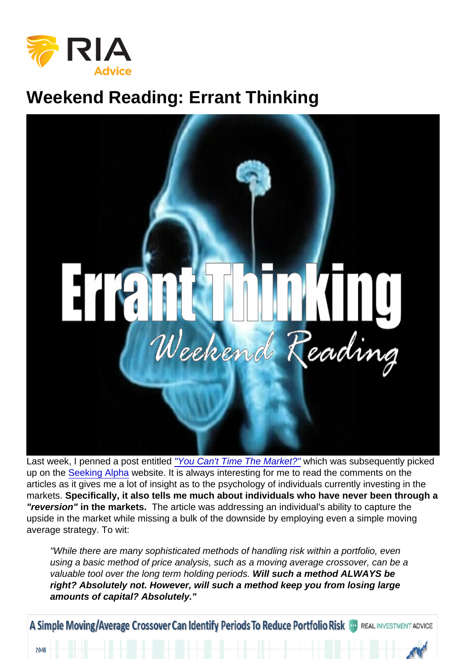## Weekend Reading: Errant Thinking

Last week, I penned a post entitled ["You Can't Time The Market?"](https://realinvestmentadvice.com/you-cant-time-the-market/) which was subsequently picked up on the [Seeking Alpha](http://www.seekingalpha.com) website. It is always interesting for me to read the comments on the articles as it gives me a lot of insight as to the psychology of individuals currently investing in the markets. Specifically, it also tells me much about individuals who have never been through a "reversion" in the markets. The article was addressing an individual's ability to capture the upside in the market while missing a bulk of the downside by employing even a simple moving average strategy. To wit:

"While there are many sophisticated methods of handling risk within a portfolio, even using a basic method of price analysis, such as a moving average crossover, can be a valuable tool over the long term holding periods. Will such a method ALWAYS be right? Absolutely not. However, will such a method keep you from losing large amounts of capital? Absolutely."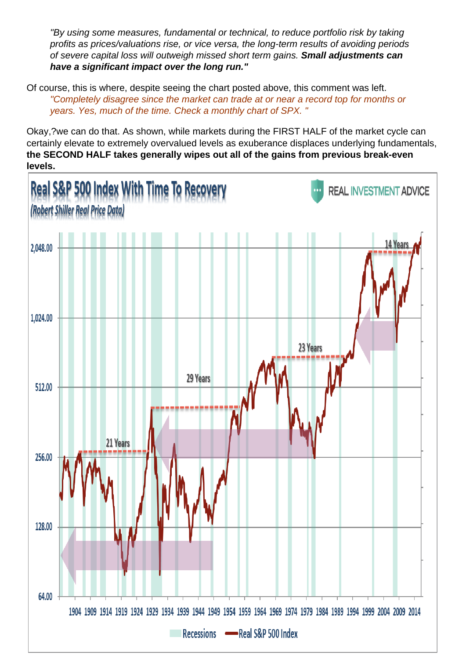"By using some measures, fundamental or technical, to reduce portfolio risk by taking profits as prices/valuations rise, or vice versa, the long-term results of avoiding periods of severe capital loss will outweigh missed short term gains. Small adjustments can have a significant impact over the long run."

Of course, this is where, despite seeing the chart posted above, this comment was left. "Completely disagree since the market can trade at or near a record top for months or years. Yes, much of the time. Check a monthly chart of SPX. "

Okay,?we can do that. As shown, while markets during the FIRST HALF of the market cycle can certainly elevate to extremely overvalued levels as exuberance displaces underlying fundamentals, the SECOND HALF takes generally wipes out all of the gains from previous break-even levels.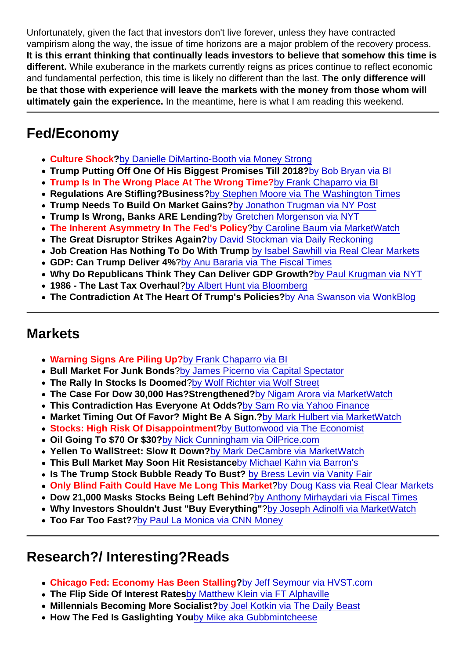Unfortunately, given the fact that investors don't live forever, unless they have contracted vampirism along the way, the issue of time horizons are a major problem of the recovery process. It is this errant thinking that continually leads investors to believe that somehow this time is different. While exuberance in the markets currently reigns as prices continue to reflect economic and fundamental perfection, this time is likely no different than the last. The only difference will be that those with experience will leave the markets with the money from those whom will ultimately gain the experience. In the meantime, here is what I am reading this weekend.

## Fed/Economy

- Culture Shock ?[by Danielle DiMartino-Booth via Money Strong](http://dimartinobooth.com/fed-culture-shock/)
- Trump Putting Off One Of His Biggest Promises Till 2018? [by Bob Bryan via BI](http://www.businessinsider.com/trump-reportedly-moving-infrastructure-investment-to-2018-2017-2)
- Trump Is In The Wrong Place At The Wrong Time? [by Frank Chaparro via BI](http://www.businessinsider.com/trump-in-wrong-place-at-wrong-time-when-it-comes-to-the-stock-market-2017-2)
- Regulations Are Stifling?Business? [by Stephen Moore via The Washington Times](http://www.washingtontimes.com/news/2017/feb/19/federal-regulation-is-stifling-business/)
- Trump Needs To Build On Market Gains? [by Jonathon Trugman via NY Post](http://nypost.com/2017/02/18/its-time-for-trump-to-realize-these-two-campaign-goals/)
- Trump Is Wrong, Banks ARE Lending? [by Gretchen Morgenson via NYT](https://www.nytimes.com/2017/02/18/business/yes-mr-president-banks-are-lending.html)
- The Inherent Asymmetry In The Fed's Policy ?[by Caroline Baum via MarketWatch](http://www.marketwatch.com/story/the-inherent-asymmetry-in-the-feds-monetary-policy-2017-02-22)
- The Great Disruptor Strikes Again? [by David Stockman via Daily Reckoning](https://dailyreckoning.com/great-disrupter-strikes/)
- Job Creation Has Nothing To Do With Trump [by Isabel Sawhill via Real Clear Markets](http://www.realclearmarkets.com/articles/2017/02/21/current_job_creation_has_nothing_to_do_with_trumps_policies_102553.html)
- GDP: Can Trump Deliver 4% [?by Anu Bararia via The Fiscal Times](http://www.thefiscaltimes.com/2017/02/14/Can-Trump-Deliver-4-Growth-Why-Most-Economists-Say-Not-Year)
- Why Do Republicans Think They Can Deliver GDP Growth? [by Paul Krugman via NYT](https://www.nytimes.com/2017/02/20/opinion/on-economic-arrogance.html?_r=0)
- 1986 The Last Tax Overhaul ?[by Albert Hunt via Bloomberg](https://www.bloomberg.com/view/articles/2017-02-21/it-s-been-31-years-since-the-last-tax-overhaul-here-s-why)
- The Contradiction At The Heart Of Trump's Policies ?[by Ana Swanson via WonkBlog](https://www.washingtonpost.com/news/wonk/wp/2017/02/17/a-contradiction-at-the-heart-of-president-trumps-economic-policy/?utm_term=.f1f0dc6cf7b6)

## **Markets**

- Warning Signs Are Piling Up? [by Frank Chaparro via BI](http://www.businessinsider.com/warnings-signs-bull-market-in-stocks-coming-to-end-2017-2)
- Bull Market For Junk Bonds [?by James Picerno via Capital Spectator](http://www.capitalspectator.com/a-bull-market-for-junk-bonds-as-interest-rates-rise/)
- The Rally In Stocks Is Doomed [?by Wolf Richter via Wolf Street](http://wolfstreet.com/2017/02/22/goldman-sachs-negative-on-rally-in-stocks-tax-reform/)
- The Case For Dow 30,000 Has? Strengthened ?[by Nigam Arora via MarketWatch](http://www.marketwatch.com/story/heres-the-case-for-dow-30000-in-trumps-first-term-2017-02-17)
- This Contradiction Has Everyone At Odds? [by Sam Ro via Yahoo Finance](http://finance.yahoo.com/news/this-big-contradiction-has-everyone-in-the-stock-market-at-odds-135523774.html)
- Market Timing Out Of Favor? Might Be A Sign.? [by Mark Hulbert via MarketWatch](http://www.marketwatch.com/story/market-timing-is-out-of-favor-so-is-a-stock-market-top-near-2017-02-21?mod=MW_story_top_stories)
- Stocks: High Risk Of Disappointment [?by Buttonwood via The Economist](http://www.economist.com/blogs/buttonwood/2017/02/recovery-trade?fsrc=rss)
- Oil Going To \$70 Or \$30 ?[by Nick Cunningham via OilPrice.com](http://oilprice.com/Energy/Oil-Prices/Oil-To-70-Or-Down-To-30.html)
- Yellen To WallStreet: Slow It Down ?[by Mark DeCambre via MarketWatch](http://www.marketwatch.com/story/is-yellen-trolling-trump-and-stock-market-investors-2017-02-22)
- This Bull Market May Soon Hit Resistance [by Michael Kahn via Barron's](http://www.barrons.com/articles/why-the-bull-market-may-soon-be-hitting-resistance-1487888165?mod=BOL_columnist_latest_col_art&mg=id-barrons)
- Is The Trump Stock Bubble Ready To Bust? [by Bress Levin via Vanity Fair](http://www.vanityfair.com/news/2017/02/is-the-trump-stock-bubble-ready-to-burst)
- Only Blind Faith Could Have Me Long This Market ?[by Doug Kass via Real Clear Markets](http://www.realclearmarkets.com/articles/2017/02/23/only_blind_faith_could_bring_me_to_be_long_this_market_102559.html)
- Dow 21,000 Masks Stocks Being Left Behind ?[by Anthony Mirhaydari via Fiscal Times](http://www.thefiscaltimes.com/Columns/2017/02/22/Dow-21000-Sight-Many-Stocks-Are-Getting-Left-Behind)
- Why Investors Shouldn't Just "Buy Everything" ?[by Joseph Adinolfi via MarketWatch](http://www.marketwatch.com/story/why-investors-shouldnt-just-buy-everything-2017-02-22)
- Too Far Too Fast? [?by Paul La Monica via CNN Money](http://money.cnn.com/2017/02/22/investing/stock-market-rally-risks-trump-brexit-le-pen/index.html?iid=hp-toplead-dom)

## Research?/ Interesting?Reads

- Chicago Fed: Economy Has Been Stalling ?[by Jeff Seymour via HVST.com](https://www.hvst.com/posts/86927-chicago-fed-economy-has-been-stalling-over-past-year)
- The Flip Side Of Interest Rates [by Matthew Klein via FT Alphaville](https://ftalphaville.ft.com/2017/02/17/2184642/the-long-rise-in-profits-is-mostly-just-the-flip-side-of-falling-interest-rates/)
- Millennials Becoming More Socialist? [by Joel Kotkin via The Daily Beast](http://www.thedailybeast.com/articles/2017/02/19/the-screwed-generation-turns-socialist.html)
- How The Fed Is Gaslighting You [by Mike aka Gubbmintcheese](http://gubbmintcheese.blogspot.ca/2017/02/the-feds-playbook-uncovered-gaslighting.html)